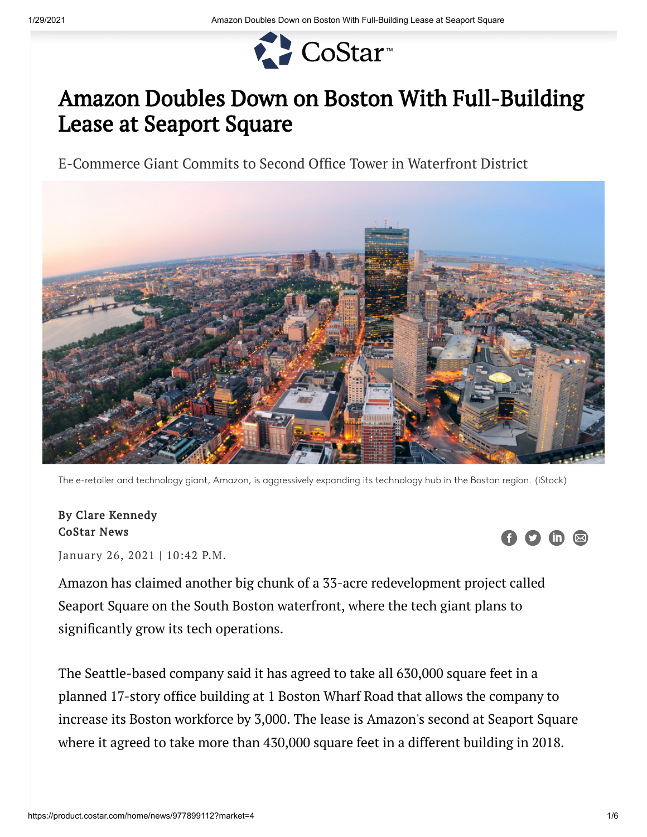

## Amazon Doubles Down on Boston With Full-Building Lease at Seaport Square

E-Commerce Giant Commits to Second Office Tower in Waterfront District



The e-retailer and technology giant, Amazon, is aggressively expanding its technology hub in the Boston region. (iStock)

## By Clare Kennedy CoStar News

January 26, 2021 | 10:42 P.M.

Amazon has claimed another big chunk of a 33-acre redevelopment project called Seaport Square on the South Boston waterfront, where the tech giant plans to significantly grow its tech operations.

The Seattle-based company said it has agreed to take all 630,000 square feet in a planned 17-story office building at 1 Boston Wharf Road that allows the company to increase its Boston workforce by 3,000. The lease is Amazon's second at Seaport Square where it agreed to take more than 430,000 square feet in a different building in 2018.

 $\overline{m}$   $\overline{\infty}$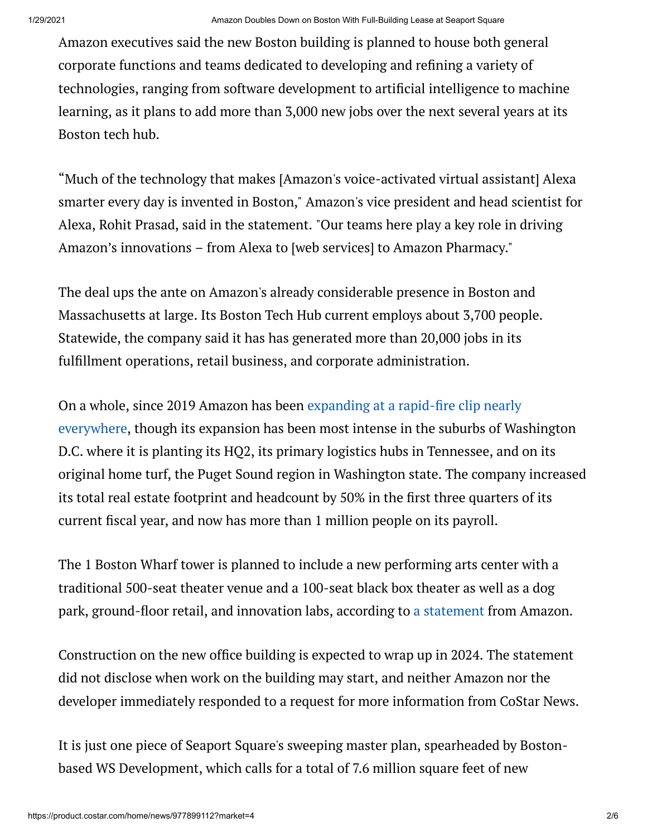Amazon executives said the new Boston building is planned to house both general corporate functions and teams dedicated to developing and refining a variety of technologies, ranging from software development to artificial intelligence to machine learning, as it plans to add more than 3,000 new jobs over the next several years at its Boston tech hub.

"Much of the technology that makes [Amazon's voice-activated virtual assistant] Alexa smarter every day is invented in Boston," Amazon's vice president and head scientist for Alexa, Rohit Prasad, said in the statement. "Our teams here play a key role in driving Amazon's innovations – from Alexa to [web services] to Amazon Pharmacy."

The deal ups the ante on Amazon's already considerable presence in Boston and Massachusetts at large. Its Boston Tech Hub current employs about 3,700 people. Statewide, the company said it has has generated more than 20,000 jobs in its fulfillment operations, retail business, and corporate administration.

On a whole, since 2019 Amazon has been expanding at a rapid-fire clip nearly everywhere, though its expansion has been most intense in the suburbs of Washington D.C. where it is planting its HQ2, its primary logistics hubs in Tennessee, and on its original home turf, the Puget Sound region in Washington state. The company increased its total real estate footprint and headcount by 50% in the first three quarters of its current fiscal year, and now has more than 1 million people on its payroll.

The 1 Boston Wharf tower is planned to include a new performing arts center with a traditional 500-seat theater venue and a 100-seat black box theater as well as a dog park, ground-floor retail, and innovation labs, according to a statement from Amazon.

Construction on the new office building is expected to wrap up in 2024. The statement did not disclose when work on the building may start, and neither Amazon nor the developer immediately responded to a request for more information from CoStar News.

It is just one piece of Seaport Square's sweeping master plan, spearheaded by Bostonbased WS Development, which calls for a total of 7.6 million square feet of new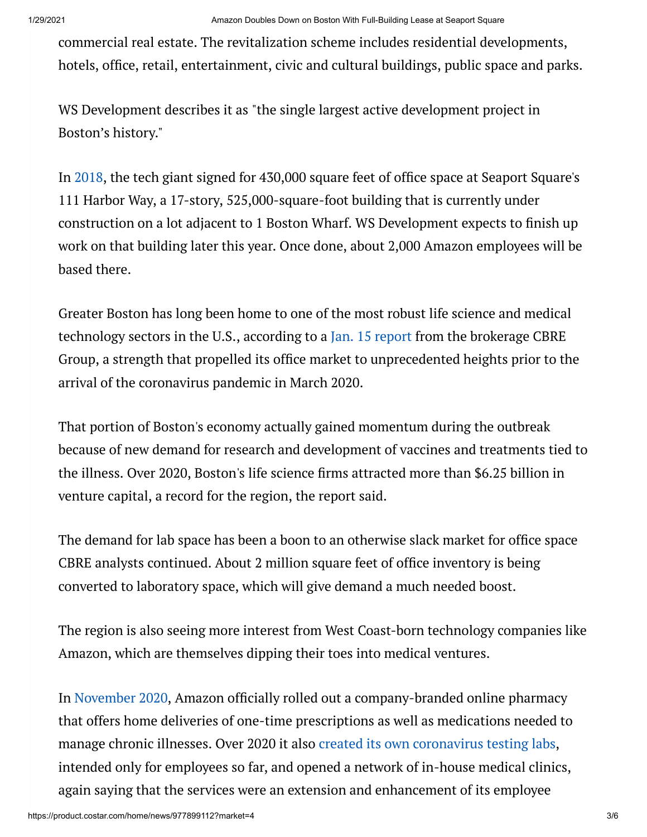commercial real estate. The revitalization scheme includes residential developments, hotels, office, retail, entertainment, civic and cultural buildings, public space and parks.

WS Development describes it as "the single largest active development project in Boston's history."

In 2018, the tech giant signed for 430,000 square feet of office space at Seaport Square's 111 Harbor Way, a 17-story, 525,000-square-foot building that is currently under construction on a lot adjacent to 1 Boston Wharf. WS Development expects to finish up work on that building later this year. Once done, about 2,000 Amazon employees will be based there.

Greater Boston has long been home to one of the most robust life science and medical technology sectors in the U.S., according to a Jan. 15 report from the brokerage CBRE Group, a strength that propelled its office market to unprecedented heights prior to the arrival of the coronavirus pandemic in March 2020.

That portion of Boston's economy actually gained momentum during the outbreak because of new demand for research and development of vaccines and treatments tied to the illness. Over 2020, Boston's life science firms attracted more than \$6.25 billion in venture capital, a record for the region, the report said.

The demand for lab space has been a boon to an otherwise slack market for office space CBRE analysts continued. About 2 million square feet of office inventory is being converted to laboratory space, which will give demand a much needed boost.

The region is also seeing more interest from West Coast-born technology companies like Amazon, which are themselves dipping their toes into medical ventures.

In November 2020, Amazon officially rolled out a company-branded online pharmacy that offers home deliveries of one-time prescriptions as well as medications needed to manage chronic illnesses. Over 2020 it also created its own coronavirus testing labs, intended only for employees so far, and opened a network of in-house medical clinics, again saying that the services were an extension and enhancement of its employee